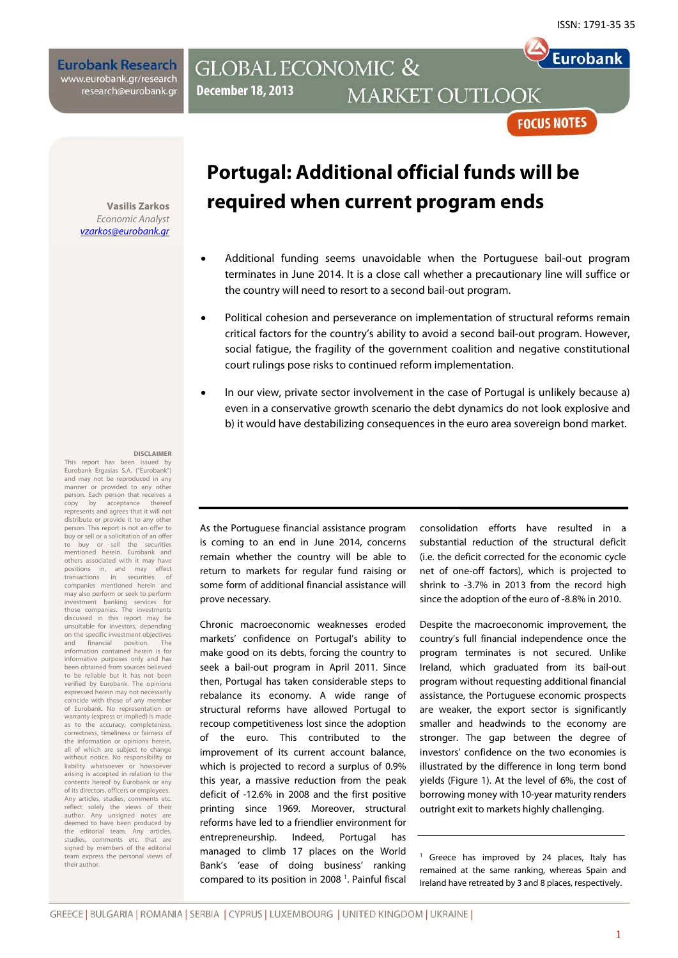Eurobank

**Eurobank Research** www.eurobank.gr/research research@eurobank.gr

### **GLOBAL ECONOMIC & December 18, 2013 MARKET OUTLOOK**

**FOCUS NOTES** 

**Vasilis Zarkos** *Economic Analyst [vzarkos@eurobank.gr](mailto:vzarkos@eurobank.gr)*

# **Portugal: Additional official funds will be required when current program ends**

- Additional funding seems unavoidable when the Portuguese bail-out program terminates in June 2014. It is a close call whether a precautionary line will suffice or the country will need to resort to a second bail-out program.
- Political cohesion and perseverance on implementation of structural reforms remain critical factors for the country's ability to avoid a second bail-out program. However, social fatigue, the fragility of the government coalition and negative constitutional court rulings pose risks to continued reform implementation.
- In our view, private sector involvement in the case of Portugal is unlikely because a) even in a conservative growth scenario the debt dynamics do not look explosive and b) it would have destabilizing consequences in the euro area sovereign bond market.

#### **DISCLAIMER**

This report has been issued by Eurobank Ergasias S.A. ("Eurobank") and may not be reproduced in any manner or provided to any other person. Each person that receives a copy by acceptance thereof represents and agrees that it will not distribute or provide it to any other person. This report is not an offer to buy or sell or a solicitation of an offer to buy or sell the securities mentioned herein. Eurobank and others associated with it may have positions in, and may effect<br>transactions in securities of .<br>transactions companies mentioned herein and may also perform or seek to perform investment banking services for those companies. The investments discussed in this report may be unsuitable for investors, depending on the specific investment objectives and financial position. The information contained herein is for informative purposes only and has been obtained from sources believed to be reliable but it has not been verified by Eurobank. The opinions expressed herein may not necessarily coincide with those of any member of Eurobank. No representation or warranty (express or implied) is made as to the accuracy, completeness, correctness, timeliness or fairness of the information or opinions herein, all of which are subject to change without notice. No responsibility or liability whatsoever or howsoe arising is accepted in relation to the contents hereof by Eurobank or any of its directors, officers or employees. Any articles, studies, comments etc. reflect solely the views of their author. Any unsigned notes are deemed to have been produced by the editorial team. Any articles, studies, comments etc. that are signed by members of the editorial team express the personal views of their author.

As the Portuguese financial assistance program is coming to an end in June 2014, concerns remain whether the country will be able to return to markets for regular fund raising or some form of additional financial assistance will prove necessary.

Chronic macroeconomic weaknesses eroded markets' confidence on Portugal's ability to make good on its debts, forcing the country to seek a bail-out program in April 2011. Since then, Portugal has taken considerable steps to rebalance its economy. A wide range of structural reforms have allowed Portugal to recoup competitiveness lost since the adoption of the euro. This contributed to the improvement of its current account balance, which is projected to record a surplus of 0.9% this year, a massive reduction from the peak deficit of -12.6% in 2008 and the first positive printing since 1969. Moreover, structural reforms have led to a friendlier environment for entrepreneurship. Indeed, Portugal has managed to climb 17 places on the World Bank's 'ease of doing business' ranking compared to its position in 2008<sup>1</sup>. Painful fiscal consolidation efforts have resulted in a substantial reduction of the structural deficit (i.e. the deficit corrected for the economic cycle net of one-off factors), which is projected to shrink to -3.7% in 2013 from the record high since the adoption of the euro of -8.8% in 2010.

Despite the macroeconomic improvement, the country's full financial independence once the program terminates is not secured. Unlike Ireland, which graduated from its bail-out program without requesting additional financial assistance, the Portuguese economic prospects are weaker, the export sector is significantly smaller and headwinds to the economy are stronger. The gap between the degree of investors' confidence on the two economies is illustrated by the difference in long term bond yields (Figure 1). At the level of 6%, the cost of borrowing money with 10-year maturity renders outright exit to markets highly challenging.

<sup>1</sup> Greece has improved by 24 places, Italy has remained at the same ranking, whereas Spain and Ireland have retreated by 3 and 8 places, respectively.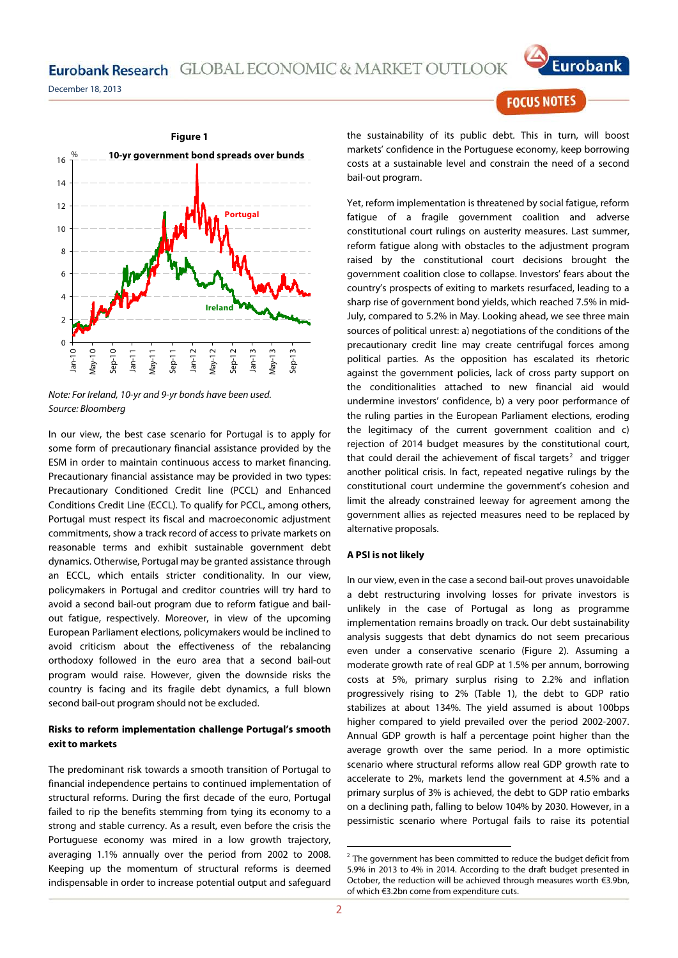December 18, 2013



*Note: For Ireland, 10-yr and 9-yr bonds have been used. Source: Bloomberg*

In our view, the best case scenario for Portugal is to apply for some form of precautionary financial assistance provided by the ESM in order to maintain continuous access to market financing. Precautionary financial assistance may be provided in two types: Precautionary Conditioned Credit line (PCCL) and Enhanced Conditions Credit Line (ECCL). To qualify for PCCL, among others, Portugal must respect its fiscal and macroeconomic adjustment commitments, show a track record of access to private markets on reasonable terms and exhibit sustainable government debt dynamics. Otherwise, Portugal may be granted assistance through an ECCL, which entails stricter conditionality. In our view, policymakers in Portugal and creditor countries will try hard to avoid a second bail-out program due to reform fatigue and bailout fatigue, respectively. Moreover, in view of the upcoming European Parliament elections, policymakers would be inclined to avoid criticism about the effectiveness of the rebalancing orthodoxy followed in the euro area that a second bail-out program would raise. However, given the downside risks the country is facing and its fragile debt dynamics, a full blown second bail-out program should not be excluded.

#### **Risks to reform implementation challenge Portugal's smooth exit to markets**

<span id="page-1-0"></span>The predominant risk towards a smooth transition of Portugal to financial independence pertains to continued implementation of structural reforms. During the first decade of the euro, Portugal failed to rip the benefits stemming from tying its economy to a strong and stable currency. As a result, even before the crisis the Portuguese economy was mired in a low growth trajectory, averaging 1.1% annually over the period from 2002 to 2008. Keeping up the momentum of structural reforms is deemed indispensable in order to increase potential output and safeguard

Eurobank

**FOCUS NOTES** 

the sustainability of its public debt. This in turn, will boost markets' confidence in the Portuguese economy, keep borrowing costs at a sustainable level and constrain the need of a second bail-out program.

Yet, reform implementation is threatened by social fatigue, reform fatigue of a fragile government coalition and adverse constitutional court rulings on austerity measures. Last summer, reform fatigue along with obstacles to the adjustment program raised by the constitutional court decisions brought the government coalition close to collapse. Investors' fears about the country's prospects of exiting to markets resurfaced, leading to a sharp rise of government bond yields, which reached 7.5% in mid-July, compared to 5.2% in May. Looking ahead, we see three main sources of political unrest: a) negotiations of the conditions of the precautionary credit line may create centrifugal forces among political parties. As the opposition has escalated its rhetoric against the government policies, lack of cross party support on the conditionalities attached to new financial aid would undermine investors' confidence, b) a very poor performance of the ruling parties in the European Parliament elections, eroding the legitimacy of the current government coalition and c) rejection of 2014 budget measures by the constitutional court, that could derail the achievement of fiscal targets<sup>[2](#page-1-0)</sup> and trigger another political crisis. In fact, repeated negative rulings by the constitutional court undermine the government's cohesion and limit the already constrained leeway for agreement among the government allies as rejected measures need to be replaced by alternative proposals.

#### **A PSI is not likely**

In our view, even in the case a second bail-out proves unavoidable a debt restructuring involving losses for private investors is unlikely in the case of Portugal as long as programme implementation remains broadly on track. Our debt sustainability analysis suggests that debt dynamics do not seem precarious even under a conservative scenario (Figure 2). Assuming a moderate growth rate of real GDP at 1.5% per annum, borrowing costs at 5%, primary surplus rising to 2.2% and inflation progressively rising to 2% (Table 1), the debt to GDP ratio stabilizes at about 134%. The yield assumed is about 100bps higher compared to yield prevailed over the period 2002-2007. Annual GDP growth is half a percentage point higher than the average growth over the same period. In a more optimistic scenario where structural reforms allow real GDP growth rate to accelerate to 2%, markets lend the government at 4.5% and a primary surplus of 3% is achieved, the debt to GDP ratio embarks on a declining path, falling to below 104% by 2030. However, in a pessimistic scenario where Portugal fails to raise its potential

1

 $2$  The government has been committed to reduce the budget deficit from 5.9% in 2013 to 4% in 2014. According to the draft budget presented in October, the reduction will be achieved through measures worth €3.9bn, of which €3.2bn come from expenditure cuts.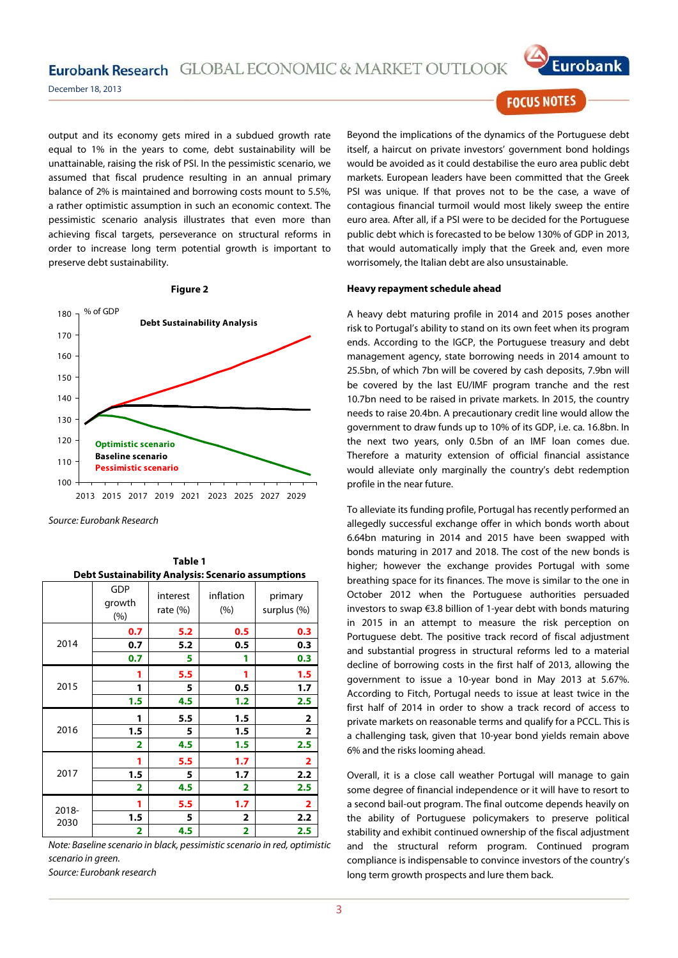Eurobank Research GLOBAL ECONOMIC & MARKET OUTLOOK



December 18, 2013

output and its economy gets mired in a subdued growth rate equal to 1% in the years to come, debt sustainability will be unattainable, raising the risk of PSI. In the pessimistic scenario, we assumed that fiscal prudence resulting in an annual primary balance of 2% is maintained and borrowing costs mount to 5.5%, a rather optimistic assumption in such an economic context. The pessimistic scenario analysis illustrates that even more than achieving fiscal targets, perseverance on structural reforms in order to increase long term potential growth is important to preserve debt sustainability.



**Table 1**

*Source: Eurobank Research*

| <b>Debt Sustainability Analysis: Scenario assumptions</b> |                      |                         |                         |                         |
|-----------------------------------------------------------|----------------------|-------------------------|-------------------------|-------------------------|
|                                                           | GDP<br>growth<br>(%) | interest<br>rate $(\%)$ | inflation<br>(%)        | primary<br>surplus (%)  |
| 2014                                                      | 0.7                  | 5.2                     | 0.5                     | 0.3                     |
|                                                           | 0.7                  | 5.2                     | 0.5                     | 0.3                     |
|                                                           | 0.7                  | 5                       | 1                       | 0.3                     |
| 2015                                                      | 1                    | 5.5                     | 1                       | 1.5                     |
|                                                           | 1                    | 5                       | 0.5                     | 1.7                     |
|                                                           | 1.5                  | 4.5                     | 1.2                     | 2.5                     |
| 2016                                                      | 1                    | 5.5                     | 1.5                     | $\mathbf{2}$            |
|                                                           | 1.5                  | 5                       | 1.5                     | 2                       |
|                                                           | 2                    | 4.5                     | 1.5                     | 2.5                     |
| 2017                                                      | 1                    | 5.5                     | 1.7                     | $\overline{\mathbf{2}}$ |
|                                                           | 1.5                  | 5                       | 1.7                     | 2.2                     |
|                                                           | 2                    | 4.5                     | 2                       | 2.5                     |
| 2018-<br>2030                                             | 1                    | 5.5                     | 1.7                     | $\overline{\mathbf{2}}$ |
|                                                           | 1.5                  | 5                       | 2                       | 2.2                     |
|                                                           | 2                    | 4.5                     | $\overline{\mathbf{2}}$ | 2.5                     |

*Note: Baseline scenario in black, pessimistic scenario in red, optimistic scenario in green.*

*Source: Eurobank research*

**FOCUS NOTES** 

Beyond the implications of the dynamics of the Portuguese debt itself, a haircut on private investors' government bond holdings would be avoided as it could destabilise the euro area public debt markets. European leaders have been committed that the Greek PSI was unique. If that proves not to be the case, a wave of contagious financial turmoil would most likely sweep the entire euro area. After all, if a PSI were to be decided for the Portuguese public debt which is forecasted to be below 130% of GDP in 2013, that would automatically imply that the Greek and, even more worrisomely, the Italian debt are also unsustainable.

#### **Heavy repayment schedule ahead**

A heavy debt maturing profile in 2014 and 2015 poses another risk to Portugal's ability to stand on its own feet when its program ends. According to the IGCP, the Portuguese treasury and debt management agency, state borrowing needs in 2014 amount to 25.5bn, of which 7bn will be covered by cash deposits, 7.9bn will be covered by the last EU/IMF program tranche and the rest 10.7bn need to be raised in private markets. In 2015, the country needs to raise 20.4bn. A precautionary credit line would allow the government to draw funds up to 10% of its GDP, i.e. ca. 16.8bn. In the next two years, only 0.5bn of an IMF loan comes due. Therefore a maturity extension of official financial assistance would alleviate only marginally the country's debt redemption profile in the near future.

To alleviate its funding profile, Portugal has recently performed an allegedly successful exchange offer in which bonds worth about 6.64bn maturing in 2014 and 2015 have been swapped with bonds maturing in 2017 and 2018. The cost of the new bonds is higher; however the exchange provides Portugal with some breathing space for its finances. The move is similar to the one in October 2012 when the Portuguese authorities persuaded investors to swap €3.8 billion of 1-year debt with bonds maturing in 2015 in an attempt to measure the risk perception on Portuguese debt. The positive track record of fiscal adjustment and substantial progress in structural reforms led to a material decline of borrowing costs in the first half of 2013, allowing the government to issue a 10-year bond in May 2013 at 5.67%. According to Fitch, Portugal needs to issue at least twice in the first half of 2014 in order to show a track record of access to private markets on reasonable terms and qualify for a PCCL. This is a challenging task, given that 10-year bond yields remain above 6% and the risks looming ahead.

Overall, it is a close call weather Portugal will manage to gain some degree of financial independence or it will have to resort to a second bail-out program. The final outcome depends heavily on the ability of Portuguese policymakers to preserve political stability and exhibit continued ownership of the fiscal adjustment and the structural reform program. Continued program compliance is indispensable to convince investors of the country's long term growth prospects and lure them back.